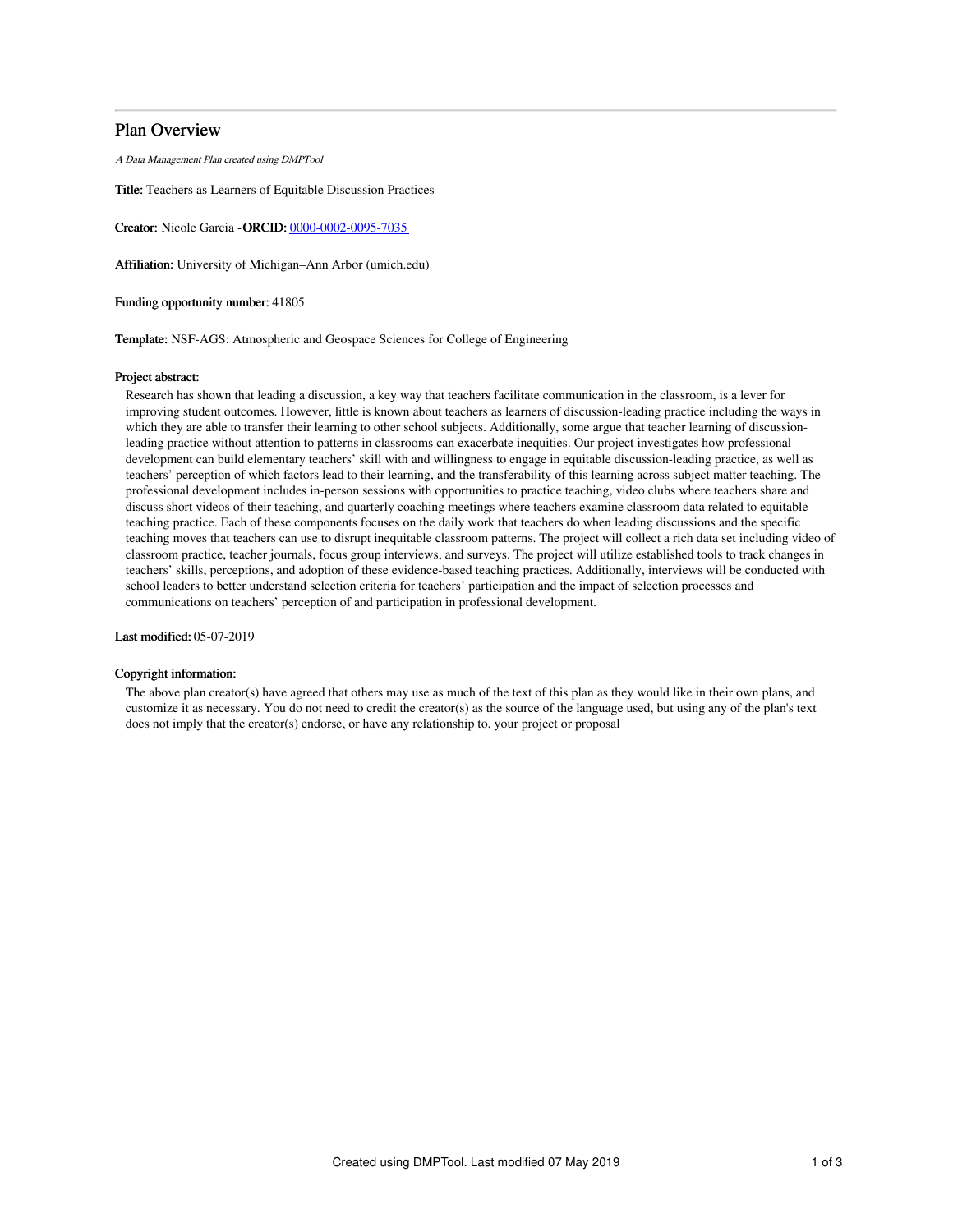# Plan Overview

A Data Management Plan created using DMPTool

Title: Teachers as Learners of Equitable Discussion Practices

Creator: Nicole Garcia -ORCID: [0000-0002-0095-7035](https://orcid.org/0000-0002-0095-7035)

Affiliation: University of Michigan–Ann Arbor (umich.edu)

Funding opportunity number: 41805

Template: NSF-AGS: Atmospheric and Geospace Sciences for College of Engineering

#### Project abstract:

Research has shown that leading a discussion, a key way that teachers facilitate communication in the classroom, is a lever for improving student outcomes. However, little is known about teachers as learners of discussion-leading practice including the ways in which they are able to transfer their learning to other school subjects. Additionally, some argue that teacher learning of discussionleading practice without attention to patterns in classrooms can exacerbate inequities. Our project investigates how professional development can build elementary teachers' skill with and willingness to engage in equitable discussion-leading practice, as well as teachers' perception of which factors lead to their learning, and the transferability of this learning across subject matter teaching. The professional development includes in-person sessions with opportunities to practice teaching, video clubs where teachers share and discuss short videos of their teaching, and quarterly coaching meetings where teachers examine classroom data related to equitable teaching practice. Each of these components focuses on the daily work that teachers do when leading discussions and the specific teaching moves that teachers can use to disrupt inequitable classroom patterns. The project will collect a rich data set including video of classroom practice, teacher journals, focus group interviews, and surveys. The project will utilize established tools to track changes in teachers' skills, perceptions, and adoption of these evidence-based teaching practices. Additionally, interviews will be conducted with school leaders to better understand selection criteria for teachers' participation and the impact of selection processes and communications on teachers' perception of and participation in professional development.

Last modified: 05-07-2019

### Copyright information:

The above plan creator(s) have agreed that others may use as much of the text of this plan as they would like in their own plans, and customize it as necessary. You do not need to credit the creator(s) as the source of the language used, but using any of the plan's text does not imply that the creator(s) endorse, or have any relationship to, your project or proposal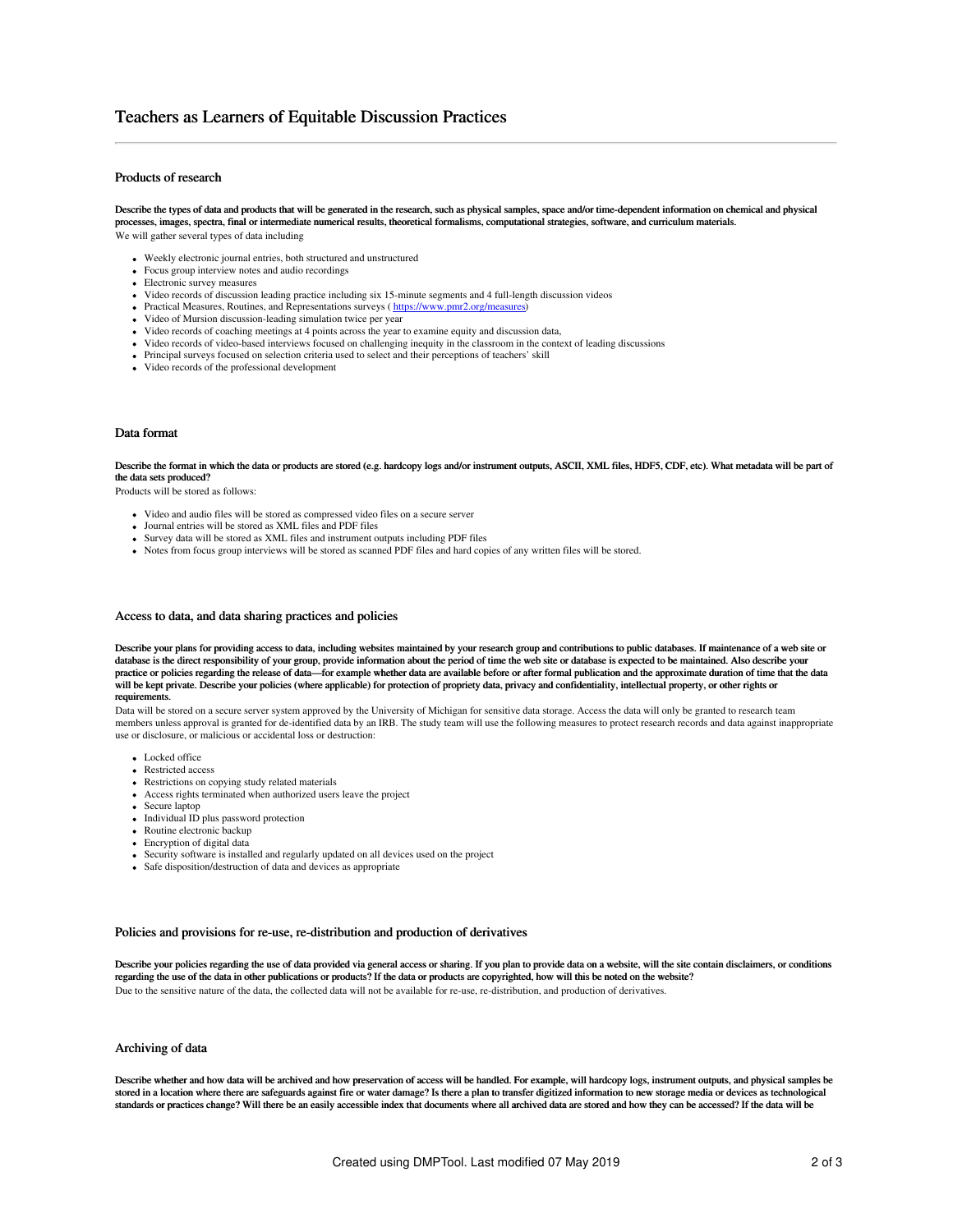# Teachers as Learners of Equitable Discussion Practices

## Products of research

Describe the types of data and products that will be generated in the research, such as physical samples, space and/or time-dependent information on chemical and physical processes, images, spectra, final or intermediate numerical results, theoretical formalisms, computational strategies, software, and curriculum materials. We will gather several types of data including

- Weekly electronic journal entries, both structured and unstructured
- Focus group interview notes and audio recordings
- Electronic survey measures
- Video records of discussion leading practice including six 15-minute segments and 4 full-length discussion videos
- Practical Measures, Routines, and Representations surveys (<https://www.pmr2.org/measures>)
- Video of Mursion discussion-leading simulation twice per year
- Video records of coaching meetings at 4 points across the year to examine equity and discussion data,
- Video records of video-based interviews focused on challenging inequity in the classroom in the context of leading discussions
- Principal surveys focused on selection criteria used to select and their perceptions of teachers' skill
- Video records of the professional development

#### Data format

Describe the format in which the data or products are stored (e.g. hardcopy logs and/or instrument outputs, ASCII, XML files, HDF5, CDF, etc). What metadata will be part of the data sets produced?

Products will be stored as follows:

- Video and audio files will be stored as compressed video files on a secure server
- Journal entries will be stored as XML files and PDF files
- Survey data will be stored as XML files and instrument outputs including PDF files
- Notes from focus group interviews will be stored as scanned PDF files and hard copies of any written files will be stored.

### Access to data, and data sharing practices and policies

Describe your plans for providing access to data, including websites maintained by your research group and contributions to public databases. If maintenance of a web site or database is the direct responsibility of your group, provide information about the period of time the web site or database is expected to be maintained. Also describe your practice or policies regarding the release of data—for example whether data are available before or after formal publication and the approximate duration of time that the data will be kept private. Describe your policies (where applicable) for protection of propriety data, privacy and confidentiality, intellectual property, or other rights or requirements.

Data will be stored on a secure server system approved by the University of Michigan for sensitive data storage. Access the data will only be granted to research team members unless approval is granted for de-identified data by an IRB. The study team will use the following measures to protect research records and data against inappropriate use or disclosure, or malicious or accidental loss or destruction:

- Locked office
- Restricted access
- Restrictions on copying study related materials
- Access rights terminated when authorized users leave the project
- Secure laptop
- Individual ID plus password protection
- Routine electronic backup
- Encryption of digital data
- Security software is installed and regularly updated on all devices used on the project
- Safe disposition/destruction of data and devices as appropriate

#### Policies and provisions for re-use, re-distribution and production of derivatives

Describe your policies regarding the use of data provided via general access or sharing. If you plan to provide data on a website, will the site contain disclaimers, or conditions regarding the use of the data in other publications or products? If the data or products are copyrighted, how will this be noted on the website? Due to the sensitive nature of the data, the collected data will not be available for re-use, re-distribution, and production of derivatives.

#### Archiving of data

Describe whether and how data will be archived and how preservation of access will be handled. For example, will hardcopy logs, instrument outputs, and physical samples be stored in a location where there are safeguards against fire or water damage? Is there a plan to transfer digitized information to new storage media or devices as technological standards or practices change? Will there be an easily accessible index that documents where all archived data are stored and how they can be accessed? If the data will be